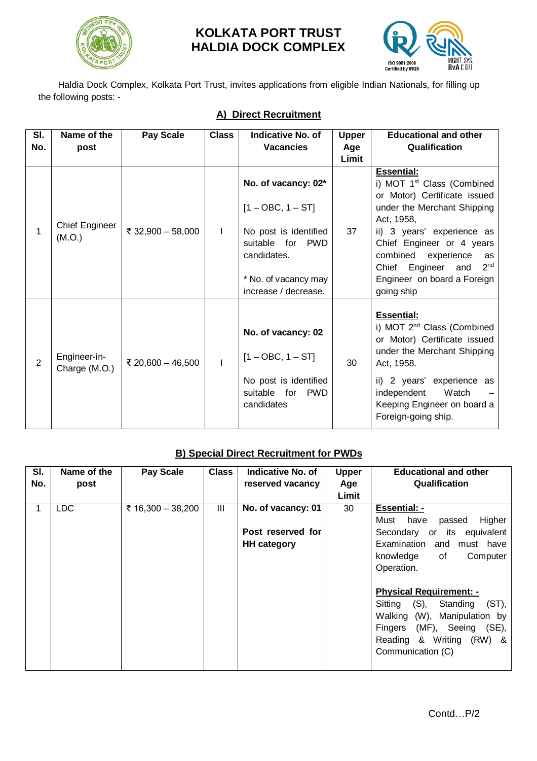

# **KOLKATA PORT TRUST HALDIA DOCK COMPLEX**



Haldia Dock Complex, Kolkata Port Trust, invites applications from eligible Indian Nationals, for filling up the following posts: -

| SI.            | Name of the                     | <b>Pay Scale</b>  | <b>Class</b> | <b>Indicative No. of</b>                                                                                                                                         | <b>Upper</b> | <b>Educational and other</b>                                                                                                                                                                                                                                                                                              |
|----------------|---------------------------------|-------------------|--------------|------------------------------------------------------------------------------------------------------------------------------------------------------------------|--------------|---------------------------------------------------------------------------------------------------------------------------------------------------------------------------------------------------------------------------------------------------------------------------------------------------------------------------|
| No.            | post                            |                   |              | <b>Vacancies</b>                                                                                                                                                 | Age          | Qualification                                                                                                                                                                                                                                                                                                             |
|                |                                 |                   |              |                                                                                                                                                                  | Limit        |                                                                                                                                                                                                                                                                                                                           |
| 1              | <b>Chief Engineer</b><br>(M.O.) | ₹ 32,900 - 58,000 | $\mathbf{I}$ | No. of vacancy: 02*<br>$[1 - OBC, 1 - ST]$<br>No post is identified<br>suitable for<br><b>PWD</b><br>candidates.<br>* No. of vacancy may<br>increase / decrease. | 37           | <b>Essential:</b><br>i) MOT 1 <sup>st</sup> Class (Combined<br>or Motor) Certificate issued<br>under the Merchant Shipping<br>Act, 1958,<br>ii) 3 years' experience as<br>Chief Engineer or 4 years<br>combined experience<br>as<br>2 <sub>nd</sub><br>Chief Engineer<br>and<br>Engineer on board a Foreign<br>going ship |
| $\overline{2}$ | Engineer-in-<br>Charge (M.O.)   | ₹ 20,600 - 46,500 | $\mathbf{I}$ | No. of vacancy: 02<br>$[1 - OBC, 1 - ST]$<br>No post is identified<br>suitable for<br><b>PWD</b><br>candidates                                                   | 30           | <b>Essential:</b><br>i) MOT 2 <sup>nd</sup> Class (Combined<br>or Motor) Certificate issued<br>under the Merchant Shipping<br>Act, 1958.<br>ii) 2 years' experience as<br>Watch<br>independent<br>Keeping Engineer on board a<br>Foreign-going ship.                                                                      |

# **B) Special Direct Recruitment for PWDs**

| SI.<br>No. | Name of the<br>post | <b>Pay Scale</b>  | <b>Class</b> | <b>Indicative No. of</b><br>reserved vacancy                  | <b>Upper</b><br>Age<br>Limit | <b>Educational and other</b><br>Qualification                                                                                                                                                                                                                                                                                                                         |
|------------|---------------------|-------------------|--------------|---------------------------------------------------------------|------------------------------|-----------------------------------------------------------------------------------------------------------------------------------------------------------------------------------------------------------------------------------------------------------------------------------------------------------------------------------------------------------------------|
| 1          | <b>LDC</b>          | ₹ 16,300 - 38,200 | Ш            | No. of vacancy: 01<br>Post reserved for<br><b>HH category</b> | 30                           | <b>Essential: -</b><br>Higher<br>Must<br>have<br>passed<br>Secondary or<br>its equivalent<br>Examination<br>and must have<br>Computer<br>knowledge<br>of<br>Operation.<br><b>Physical Requirement: -</b><br>Sitting (S),<br>$(ST)$ ,<br>Standing<br>Walking (W),<br>Manipulation by<br>(MF), Seeing (SE),<br>Fingers<br>Reading & Writing (RW) &<br>Communication (C) |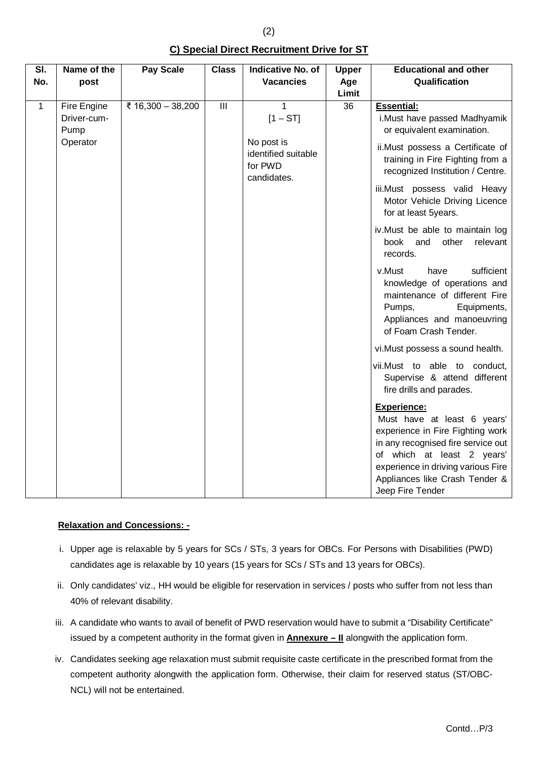**Sl. No. Name of the post Pay Scale Class Indicative No. of Vacancies Upper Age Limit Educational and other Qualification** 1 Fire Engine Driver-cum-Pump **Operator**  $\overline{z}$  16,300 – 38,200 III 1 1  $[1 - ST]$ No post is identified suitable for PWD candidates. 36 **Essential:**  i.Must have passed Madhyamik or equivalent examination. ii.Must possess a Certificate of training in Fire Fighting from a recognized Institution / Centre. iii.Must possess valid Heavy Motor Vehicle Driving Licence for at least 5years. iv.Must be able to maintain log book and other relevant records. v.Must have sufficient knowledge of operations and maintenance of different Fire Pumps, Equipments, Appliances and manoeuvring of Foam Crash Tender. vi.Must possess a sound health. vii.Must to able to conduct, Supervise & attend different fire drills and parades. **Experience:** Must have at least 6 years' experience in Fire Fighting work in any recognised fire service out of which at least 2 years' experience in driving various Fire Appliances like Crash Tender & Jeep Fire Tender

## **Relaxation and Concessions: -**

- i. Upper age is relaxable by 5 years for SCs / STs, 3 years for OBCs. For Persons with Disabilities (PWD) candidates age is relaxable by 10 years (15 years for SCs / STs and 13 years for OBCs).
- ii. Only candidates' viz., HH would be eligible for reservation in services / posts who suffer from not less than 40% of relevant disability.
- iii. A candidate who wants to avail of benefit of PWD reservation would have to submit a "Disability Certificate" issued by a competent authority in the format given in **Annexure – II** alongwith the application form.
- iv. Candidates seeking age relaxation must submit requisite caste certificate in the prescribed format from the competent authority alongwith the application form. Otherwise, their claim for reserved status (ST/OBC-NCL) will not be entertained.

**C) Special Direct Recruitment Drive for ST**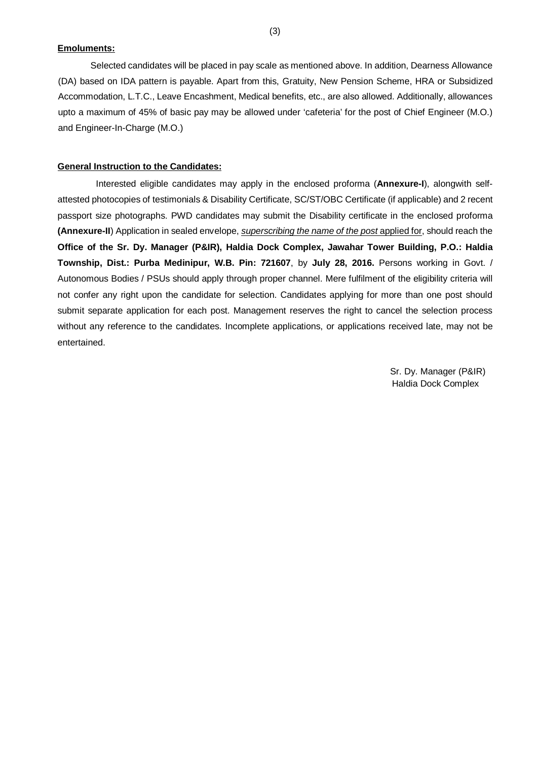#### **Emoluments:**

Selected candidates will be placed in pay scale as mentioned above. In addition, Dearness Allowance (DA) based on IDA pattern is payable. Apart from this, Gratuity, New Pension Scheme, HRA or Subsidized Accommodation, L.T.C., Leave Encashment, Medical benefits, etc., are also allowed. Additionally, allowances upto a maximum of 45% of basic pay may be allowed under 'cafeteria' for the post of Chief Engineer (M.O.) and Engineer-In-Charge (M.O.)

#### **General Instruction to the Candidates:**

Interested eligible candidates may apply in the enclosed proforma (**Annexure-I**), alongwith selfattested photocopies of testimonials & Disability Certificate, SC/ST/OBC Certificate (if applicable) and 2 recent passport size photographs. PWD candidates may submit the Disability certificate in the enclosed proforma **(Annexure-II**) Application in sealed envelope, *superscribing the name of the post* applied for, should reach the **Office of the Sr. Dy. Manager (P&IR), Haldia Dock Complex, Jawahar Tower Building, P.O.: Haldia Township, Dist.: Purba Medinipur, W.B. Pin: 721607**, by **July 28, 2016.** Persons working in Govt. / Autonomous Bodies / PSUs should apply through proper channel. Mere fulfilment of the eligibility criteria will not confer any right upon the candidate for selection. Candidates applying for more than one post should submit separate application for each post. Management reserves the right to cancel the selection process without any reference to the candidates. Incomplete applications, or applications received late, may not be entertained.

> Sr. Dy. Manager (P&IR) Haldia Dock Complex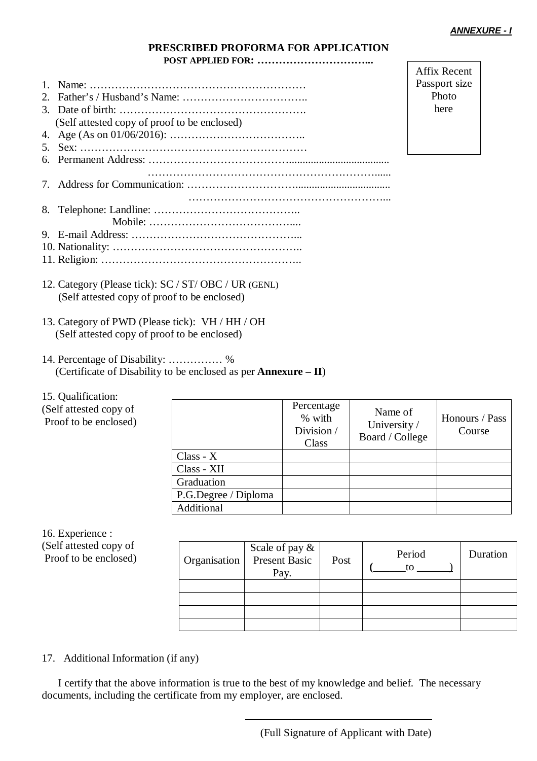Affix Recent Passport size Photo here

### **PRESCRIBED PROFORMA FOR APPLICATION POST APPLIED FOR: …………………………...**

| (Self attested copy of proof to be enclosed) |
|----------------------------------------------|
|                                              |
|                                              |
|                                              |
|                                              |
|                                              |
|                                              |
|                                              |
|                                              |
|                                              |
|                                              |
|                                              |

- 12. Category (Please tick): SC / ST/ OBC / UR (GENL) (Self attested copy of proof to be enclosed)
- 13. Category of PWD (Please tick): VH / HH / OH (Self attested copy of proof to be enclosed)
- 14. Percentage of Disability: …………… % (Certificate of Disability to be enclosed as per **Annexure – II**)

15. Qualification:

(Self attested copy of Proof to be enclosed)

|                      | Percentage<br>% with<br>Division/<br>Class | Name of<br>University /<br>Board / College | Honours / Pass<br>Course |
|----------------------|--------------------------------------------|--------------------------------------------|--------------------------|
| $Class - X$          |                                            |                                            |                          |
| Class - XII          |                                            |                                            |                          |
| Graduation           |                                            |                                            |                          |
| P.G.Degree / Diploma |                                            |                                            |                          |
| Additional           |                                            |                                            |                          |

16. Experience : (Self attested copy of Proof to be enclosed)

| Organisation | Scale of pay &<br>Present Basic<br>Pay. | Post | Period<br>tο | Duration |
|--------------|-----------------------------------------|------|--------------|----------|
|              |                                         |      |              |          |
|              |                                         |      |              |          |
|              |                                         |      |              |          |
|              |                                         |      |              |          |

## 17. Additional Information (if any)

I certify that the above information is true to the best of my knowledge and belief. The necessary documents, including the certificate from my employer, are enclosed.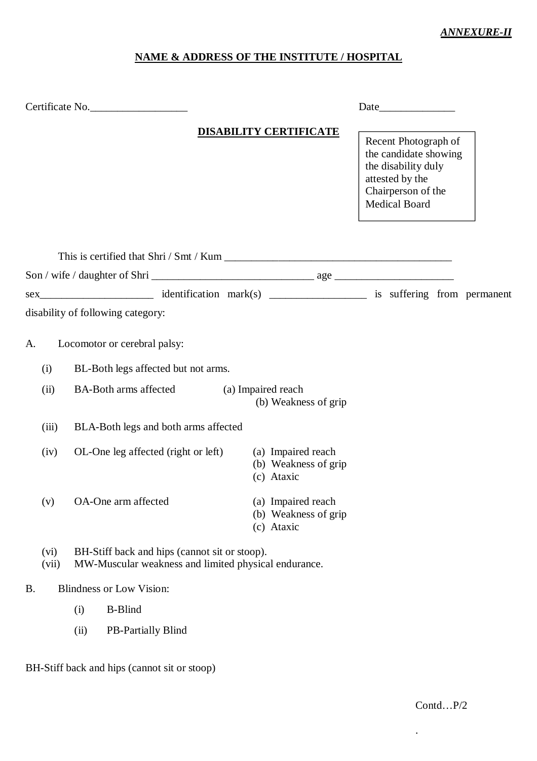## *ANNEXURE-II*

# **NAME & ADDRESS OF THE INSTITUTE / HOSPITAL**

| Certificate No.                               |                                                                                                       |                                                                                              |                                                                                                                                       |  |  |
|-----------------------------------------------|-------------------------------------------------------------------------------------------------------|----------------------------------------------------------------------------------------------|---------------------------------------------------------------------------------------------------------------------------------------|--|--|
|                                               |                                                                                                       | <b>DISABILITY CERTIFICATE</b>                                                                | Recent Photograph of<br>the candidate showing<br>the disability duly<br>attested by the<br>Chairperson of the<br><b>Medical Board</b> |  |  |
|                                               |                                                                                                       |                                                                                              |                                                                                                                                       |  |  |
|                                               |                                                                                                       |                                                                                              |                                                                                                                                       |  |  |
|                                               |                                                                                                       |                                                                                              |                                                                                                                                       |  |  |
| disability of following category:             |                                                                                                       |                                                                                              |                                                                                                                                       |  |  |
| Locomotor or cerebral palsy:<br>A.            |                                                                                                       |                                                                                              |                                                                                                                                       |  |  |
| BL-Both legs affected but not arms.<br>(i)    |                                                                                                       |                                                                                              |                                                                                                                                       |  |  |
| <b>BA-Both arms affected</b><br>(ii)          |                                                                                                       | (a) Impaired reach<br>(b) Weakness of grip                                                   |                                                                                                                                       |  |  |
| (iii)<br>BLA-Both legs and both arms affected |                                                                                                       |                                                                                              |                                                                                                                                       |  |  |
| (iv)                                          |                                                                                                       | OL-One leg affected (right or left) (a) Impaired reach<br>(b) Weakness of grip<br>(c) Ataxic |                                                                                                                                       |  |  |
| OA-One arm affected<br>(v)                    |                                                                                                       | (a) Impaired reach<br>(b) Weakness of grip<br>(c) Ataxic                                     |                                                                                                                                       |  |  |
| (vi)<br>(vii)                                 | BH-Stiff back and hips (cannot sit or stoop).<br>MW-Muscular weakness and limited physical endurance. |                                                                                              |                                                                                                                                       |  |  |
| <b>Blindness or Low Vision:</b><br><b>B.</b>  |                                                                                                       |                                                                                              |                                                                                                                                       |  |  |
| <b>B-Blind</b><br>(i)                         |                                                                                                       |                                                                                              |                                                                                                                                       |  |  |
| PB-Partially Blind<br>(ii)                    |                                                                                                       |                                                                                              |                                                                                                                                       |  |  |

BH-Stiff back and hips (cannot sit or stoop)

.